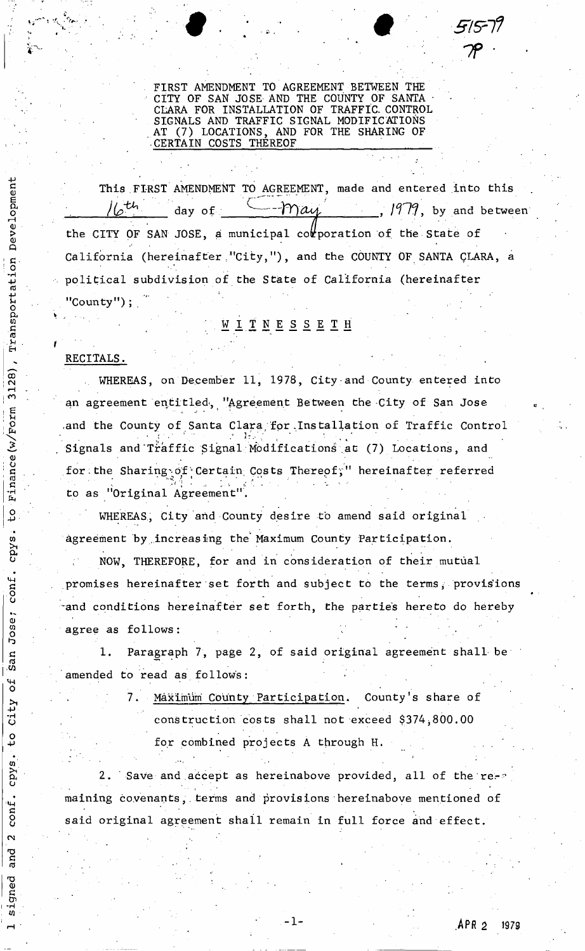FIRST AMENDMENT TO AGREEMENT BETWEEN THE CITY OF SAN JOSE AND THE COUNTY OF SANTA CLARA FOR INSTALLATION OF TRAFFIC. CONTROL SIGNALS AND TRAFFIC SIGNAL MODIFICATIONS AT (7) LOCATIONS, AND FOR THE SHARING OF CERTAIN COSTS THEREOF

 $\blacksquare$  .  $\blacksquare$  .  $\blacksquare$  .  $\blacksquare$  .  $\blacksquare$  .  $\blacksquare$  .  $\blacksquare$  .  $\blacksquare$  .  $\blacksquare$  .  $\blacksquare$  .  $\blacksquare$  .  $\blacksquare$  .  $\blacksquare$  .  $\blacksquare$  .  $\blacksquare$  .  $\blacksquare$  .  $\blacksquare$  .  $\blacksquare$  .  $\blacksquare$  .  $\blacksquare$  .  $\blacksquare$  .  $\blacksquare$  .  $\blacksquare$  .  $\blacksquare$  .  $\blacksquare$ 

This FIRST AMENDMENT TO AGREEMENT, made and entered into this  $\frac{1}{6}$  day of  $\frac{1979}{10}$ , by and between the CITY OF SAN JOSE, a municipal corporation of the State of California (hereinafter "City,"), and the COUNTY OF SANTA CLARA, a political subdivision of the State of California (hereinafter i •. ' - "County");

# ; W I T N E S S E T H

### RECITALS .

Development

Transportation

3128)

Finance (w/Form

ρ

cpys

conf

Jose;

San

لا<br>0

City

 $\frac{0}{\sqrt{2}}$ 

cpys

conf.

 $\overline{\mathbf{C}}$ 

and

gned

WHEREAS, on December 11, 1978, City and County entered into an agreement entitled, "Agreement Between the City of San Jose and the County of Santa Clara for Installation of Traffic Control Signals and Traffic Signal Modifications at (7) Locations, and for the Sharing of Certain Costs Thereof," hereinafter referred  $\mathcal{F}_\mathcal{F}$  is starting the Sharing ... :  $\mathcal{F}_\mathcal{F}$  is the costs Therefore referred referred referred referred referred referred referred referred referred referred referred referred referred referred referred ref to as "Original Agreement".

WHEREAS, City and County desire to amend said original agreement by increasing the Maximum County Participation.

NOW, THEREFORE, for and in consideration of their mutual promises hereinafter set forth and subject to the terms, provisions -and conditions hereinafter set forth, the parties hereto do hereby agree as follows:

1, Paragraph 7, page 2, of said original agreement shall be amended to read as follows:

> 7. Maximum County Participation. County's share of construction costs shall not exceed \$374^800.00 for combined projects A through H.

2. Save and accept as hereinabove provided, all of the remaining covenants, terms and provisions hereinabove mentioned of said original agreement shall remain in full force and effect.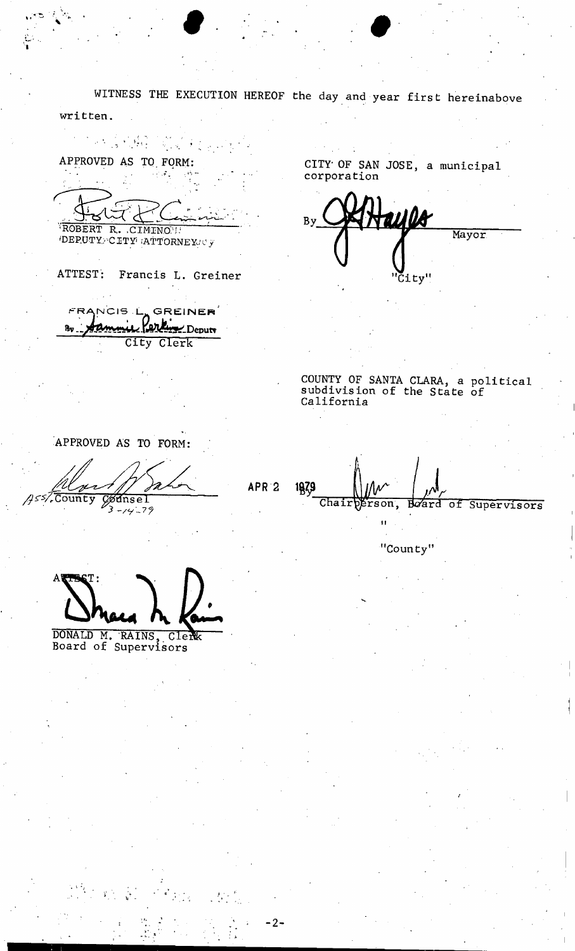WITNESS THE EXECUTION HEREOF the day and year first hereinabove written.  $\label{eq:2.1} \frac{d^2}{dt^2} = \frac{1}{2} \frac{1}{2} \sum_{i=1}^3 \frac{d^2}{dt^2} \sum_{i=1}^3 \frac{d^2}{dt^2} \sum_{i=1}^3 \frac{d^2}{dt^2} \sum_{i=1}^3 \frac{d^2}{dt^2} \sum_{i=1}^3 \frac{d^2}{dt^2} \sum_{i=1}^3 \frac{d^2}{dt^2} \sum_{i=1}^3 \frac{d^2}{dt^2} \sum_{i=1}^3 \frac{d^2}{dt^2} \sum_{i=1}^3 \frac{d^2}{dt^2} \sum_{i=$ CITY OF SAN JOSE, a municipal APPROVED AS TO FORM: corporation taulo **By** ROBERT R. CIMINO I Mayor ATTEST: Francis L. Greiner 'City" FRANCIS LA GREINER Jammie Perkin Deputy Яo City Clerk COUNTY OF SANTA CLARA, a political<br>subdivision of the State of California APPROVED AS TO FORM: APR<sub>2</sub> 1839 Codnsel 455%County Chairperson, Board of Supervisors  $3 - 14 - 79$  $\mathbf{u}$ "County" DONALD M. RAINS, Cler<br>Board of Supervisors Clerk

 $-2-$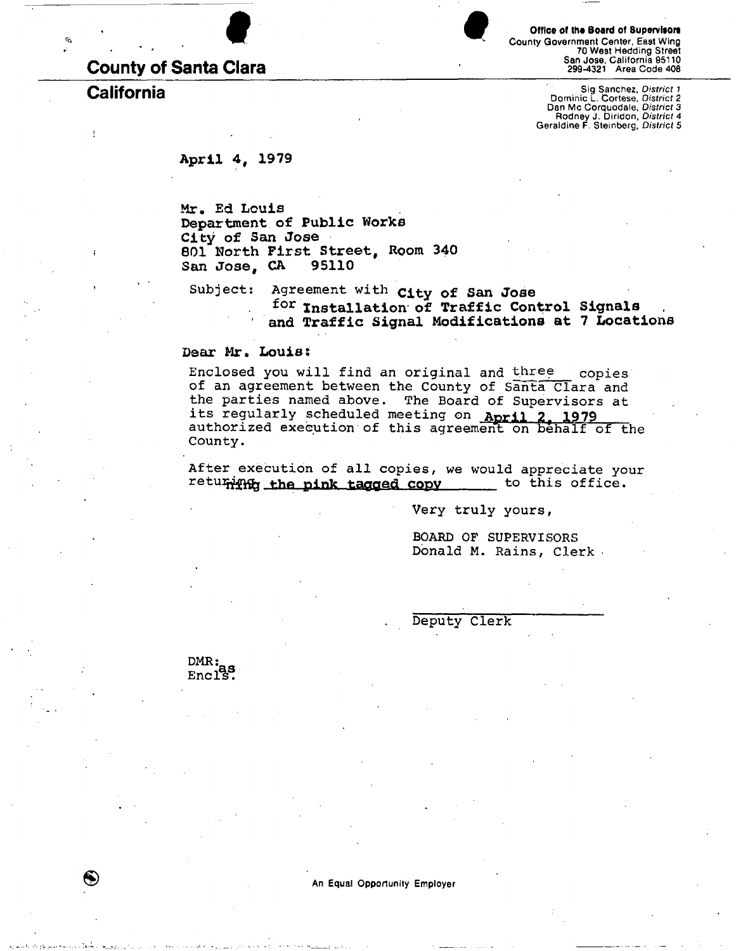# **County of Santa Clara**

 $\mathbf{Q}_1$ 

ł

Office of the Board of Supervisors County Government Center, East Wing 70 West Hedding Street San Jose, California 95110 299-4321 Area Code 408

**California** Sig Sanchez, *District 1*  Dominic L. Cortese, *District 2*  Dan Mc Corquodale, *District 3*  Rodney J. Diridon, *District 4*  Geraldine F. Steinberg, *District 5* 

**Apri l 4 , 1979** 

**M r . Ed Loui s Department of Public Works City of San Jose 8 01 Nort h First Street, Room 340 S an Jose , CA 95110** 

Subject: Agreement with **city of San Jose f o r Installation of Traffic Control Signals 1** and Traffic Signal Modifications at 7 Locations

**Dear Mr. Louis:** 

Enclosed you will find an original and three copies of an agreement between the County of Santa Clara and the parties named above. The Board of Supervisors at its regularly scheduled meeting on April 2, 1979 authorized execution of this agreement on behalf of the County.

After execution of all copies, we would appreciate your returing the pink tagged copy to this office.

Very truly yours,

BOARD OF SUPERVISORS Donald M. Rains, Clerk

Deputy Clerk

 $DMR:$  $Enc1s$ .

An Equal Opportunity Employer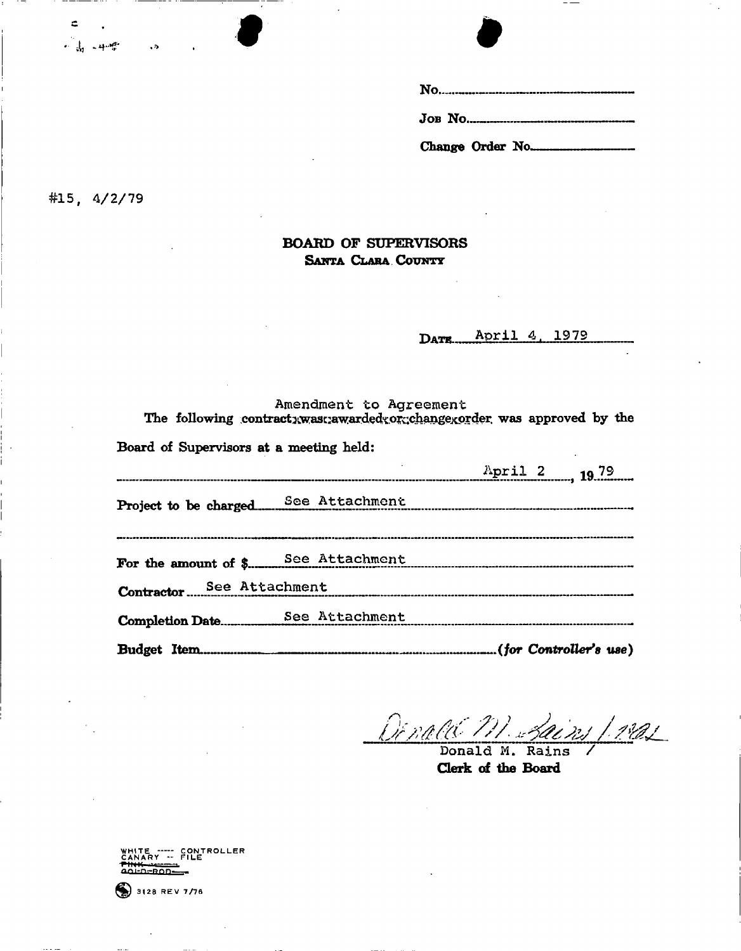#15,  $4/2/79$ 

 $\subset$ 

 $+$   $\frac{1}{10}$   $+$   $+$ 

 $\rightarrow$  50  $^{\circ}$ 

## **BOARD OF SUPERVISORS SANTA CLARA COUNTY**

DATE April 4, 1979

|                                         | Amendment to Agreement | The following contract: was: awarded: or: change: order was approved by the |  |
|-----------------------------------------|------------------------|-----------------------------------------------------------------------------|--|
| Board of Supervisors at a meeting held: |                        |                                                                             |  |
|                                         |                        | April 2 19.79                                                               |  |
|                                         |                        |                                                                             |  |
|                                         |                        |                                                                             |  |
| Contractor See Attachment               |                        |                                                                             |  |
|                                         |                        |                                                                             |  |
|                                         |                        |                                                                             |  |

*LMMM W*  ns 1 mas Donald M. Rains

**Clerk of the Board** 

WHITE ----- CONTROLLER<br>CANARY -- FILE<br><del>Pink vector</del> ^m-n-rrnn-

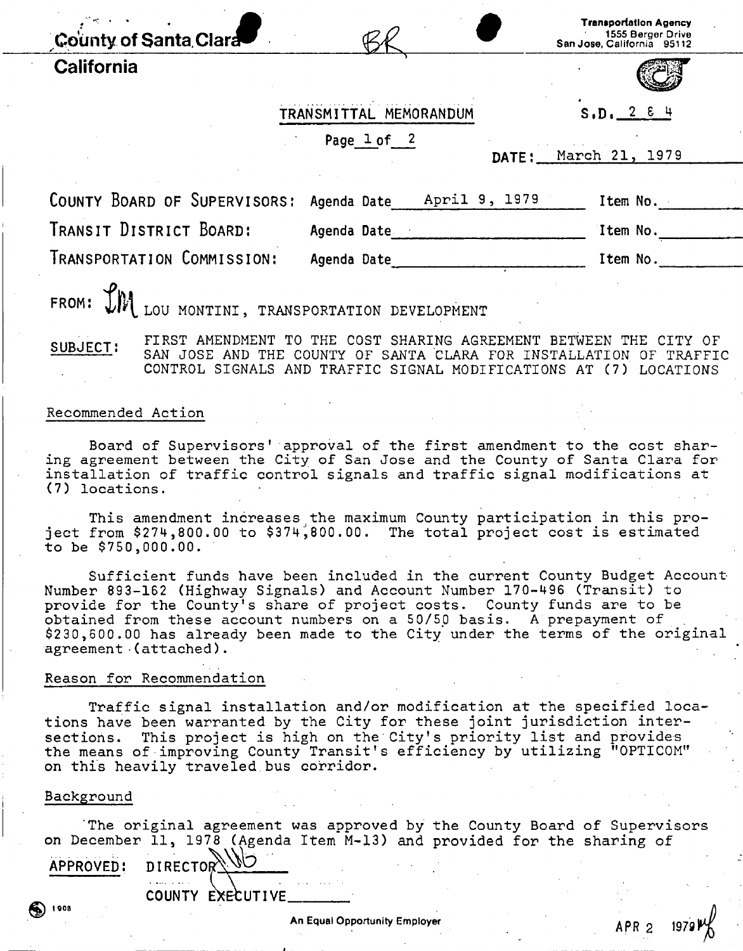| County of Santa Clara        |                              | <b>Transportation Agency</b><br>1555 Berger Drive<br>San Jose, California 95112 |
|------------------------------|------------------------------|---------------------------------------------------------------------------------|
| California                   |                              |                                                                                 |
|                              | TRANSMITTAL MEMORANDUM       | S.D. 2 E 4                                                                      |
|                              | Page $1$ of $2$<br>DATE:     | March 21, 1979                                                                  |
| COUNTY BOARD OF SUPERVISORS: | April 9, 1979<br>Agenda Date | Item No.                                                                        |
| TRANSIT DISTRICT BOARD:      | Agenda Date                  | Item No.                                                                        |
| TRANSPORTATION COMMISSION:   | Agenda Date                  | Item No.                                                                        |
| $\mathcal{L}_{\mathbf{h}}$ . |                              |                                                                                 |

FROM:  $L$ <sup>M</sup> LOU MONTINI, TRANSPORTATION DEVELOPMENT

**SUBJECT:**  FIRST AMENDMENT TO THE COST SHARING AGREEMENT BETWEEN THE CITY OF SAN JOSE AND THE COUNTY OF SANTA CLARA FOR INSTALLATION OF TRAFFIC CONTROL SIGNALS AND TRAFFIC SIGNAL MODIFICATIONS AT (7) LOCATIONS

### Recommended Action

Board of Supervisors' approval of the first amendment to the cost sharing agreement between the City of San Jose and the County of Santa Clara for installation of traffic control signals and traffic signal modifications at (7) locations .

This amendment increases the maximum County participation in this project from  $$274,800.00$  to  $$374,800.00$ . The total project cost is estimated  $to be$  \$750,000.00.

Sufficient funds have been included in the current County Budget Account-Number 893-162 (Highway Signals) and Account Number 170-496 (Transit) to provide for the County's share of project costs. County funds are to be obtained from these account numbers on a 50/50 basis. A prepayment of \$230,600.00 has already been made to the City under the terms of the original agreement-(attached) .

#### Reason for Recommendation

Traffic signal installation and/or modification at the specified locations have been warranted by the City for these joint jurisdiction intersections. This project is high on the City's priority list and provides the means of improving County Transit's efficiency by utilizing "OPTICOM" on this heavily traveled bus corridor.

### **Background**

4) 1908

The original agreement was approved by the County Board of Supervisors on December 11, 1978 (Agenda Item M-13) and provided for the sharing of

**APPROVED: DIRECTOR** 

COUNTY EXECUTIVE

APR 2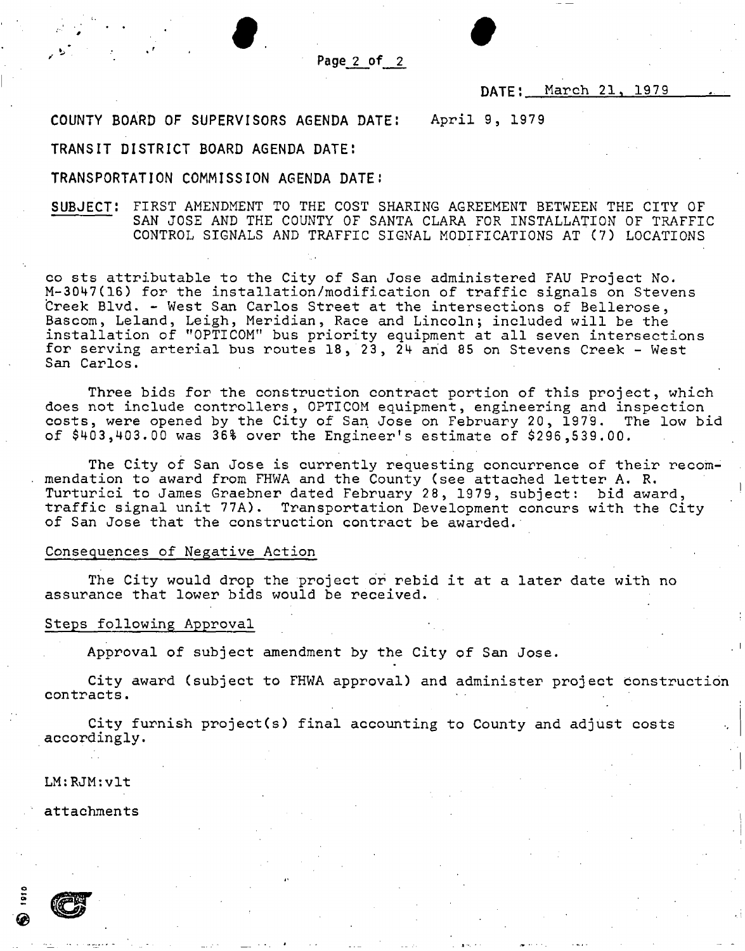**Page 2 of 2** 

*9 0* 

### DATE: March 21, 1979

**COUNTY BOARD OF SUPERVISORS AGENDA DATE:** April 9, 197 9

### **TRANSIT DISTRICT BOARD AGENDA DATE:**

#### **TRANSPORTATION COMMISSION AGENDA DATE:**

SUBJECT: FIRST AMENDMENT TO THE COST SHARING AGREEMENT BETWEEN THE CITY OF SAN JOSE AND THE COUNTY OF SANTA CLARA FOR INSTALLATION OF TRAFFIC CONTROL SIGNALS AND TRAFFIC SIGNAL MODIFICATIONS AT (7) LOCATIONS

co sts attributable to the City of San Jose administered FAU Project No. M-3047(16) for the installation/modification of traffic signals on Stevens Creek Blvd. - West San Carlos Street at the intersections of Bellerose, Bascom, Leland, Leigh, Meridian, Race and Lincoln; included will be the installation of "OPTICOM" bus priority equipment at all seven intersections for serving arterial bus routes  $18$ ,  $23$ ,  $24$  and 85 on Stevens Creek - West San Carlos.

Three bids for the construction contract portion of this project, which does not include controllers, OPTICOM equipment, engineering and inspection costs, were opened by the City of San Jose on February 20, 1979. The low bid of \$403,403.00 was 36% over the Engineer's estimate of \$296,539.00.

The City of San Jose is currently requesting concurrence of their recommendation to award from FHWA and the County (see attached letter A. R. Turturici to James Graebner dated February 28, 1979, subject: bid award, traffic signal unit 77A). Transportation Development concurs with the City of San Jose that the construction contract be awarded .

### Consequences of Negative Action

The City would drop the project or rebid it at a later date with no assurance that lower bids would be received.

#### Steps following Approval

Approval of subject amendment by the City of San Jose.

City award (subject to FHWA approval) and administer project construction contracts .

City furnish project(s) final accounting to County and adjust costs accordingly .

LM:RJM:vlt

attachments



**®**  »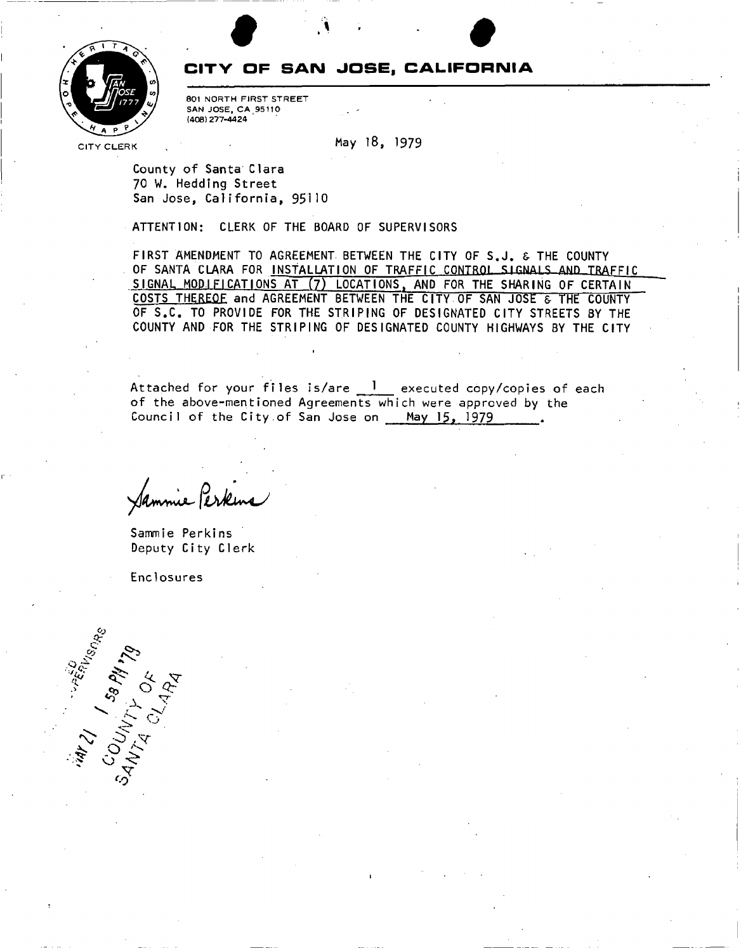

## **CITV OF SAN JOSE, CALIFORNIA**

**t •** 

801 NORTH FIRST STREET SAN JOSE, CA 95110 (408) 277-4424 '

CITY CLERK May 18, 1979

County of Santa Clara 70 W. Hedding Street San Jose, California, 95110

ATTENTION: CLERK OF THE BOARD OF SUPERVISORS

FIRST AMENDMENT TO AGREEMENT BETWEEN THE CITY OF S.J. & THE COUNTY OF SANTA CLARA FOR INSTALLATION OF TRAFFIC CONTROL SIGNALS AND TRAFFIC SIGNAL MODIFICATIONS AT (7) LOCATIONS, AND FOR THE SHARING OF CERTAIN COSTS THEREOF and AGREEMENT BETWEEN THE CITY OF SAN JOSE & THE COUNTY OF S.C. TO PROVIDE FOR THE STRIPING OF DESIGNATED CITY STREETS BY THE COUNTY AND FOR THE STRIPING OF DESIGNATED COUNTY HIGHWAYS BY THE CITY

Attached for your files is/are  $1$  executed copy/copies of each of the above-mentioned Agreements which were approved by the Council of the City of San Jose on May 15, 1979

i

nie Perkin

Sammie Perkins Deputy City Clerk

Enclosures

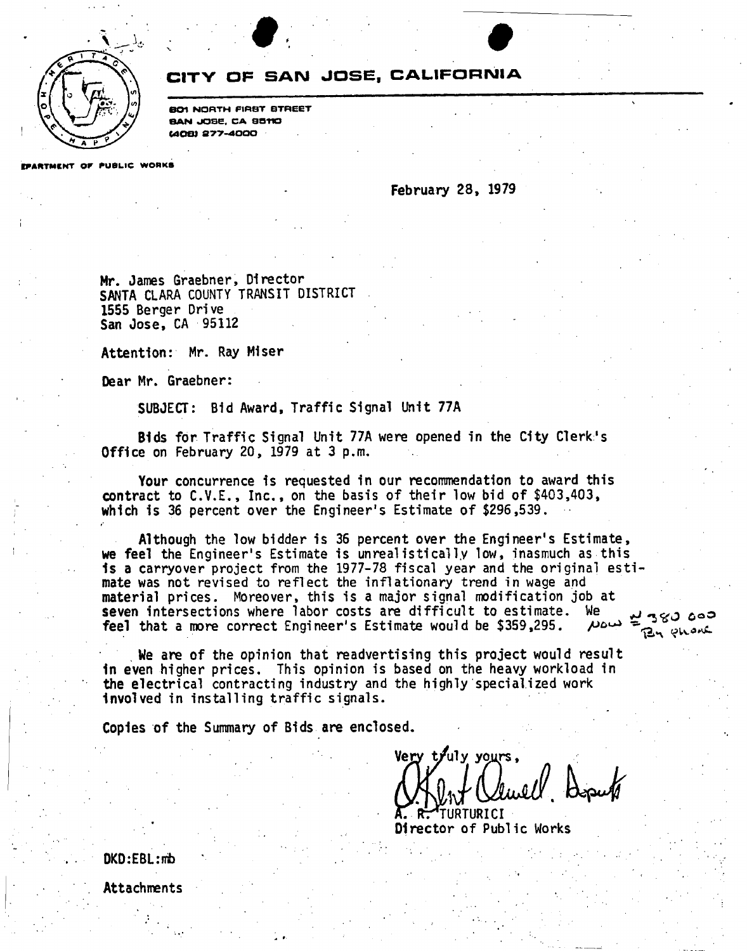

# **CITY OF SAN JOSE, CALIFORNIA**

. For the contract of  $\bullet$ 

BOI NORTH FIRST STREET BAN JOSE, CA 95110 C408I S77-4000

EPARTMENT OF PUBLIC WORKS

### **February 28, 1979**

**Mr. James Graebner, Director SANTA CLARA COUNTY TRANSIT DISTRICT 1555 Berger Drive San Jose, CA 95112** 

**Attention: Mr. Ray Miser** 

**Dear Mr. Graebner:** 

**SUBJECT: Bid Award, Traffic Signal Unit 77A** 

**Bids for Traffic Signal Unit 77A were opened in the City Clerk's Office on February 20, 1979 at 3 p.m.** 

**Your concurrence is requested in our recommendation to award this contract to C.V.E., Inc., on the basis of their low bid of \$403,403, which is 36 percent over the Engineer's Estimate of \$296,539.** 

**Although the low bidder is 36 percent over the Engineer's Estimate, we feel the Engineer's Estimate is unreal istically low, inasmuch as this Is a carryover project from the 1977-78 fiscal year and the original estimate was not revised to reflect the inflationary** *trend* **in wage and material prices. Moreover, this is a major signal modification job at**  seven intersections where labor costs are difficult to estimate. We بلد 360 ooo<br>**feel that a more correct** Engineer's Estimate would be \$359.295 ADOW **feel that a more correct Engineer's Estimate would be \$359,295.**  By phane

**We are of the opinion that readvertising this project would result In even higher prices. This opinion is based on the heavy workload in the electrical contracting industry and the highly specialized work Involved in installing traffic signals.** 

**Copies of the Summary of Bids are enclosed.** 

**Very tj uly yours,**  *'IGbJ. K-Jf* 

**TURTURICI Director of Public Works** 

**0KD:EBL:irb** 

**Attachments**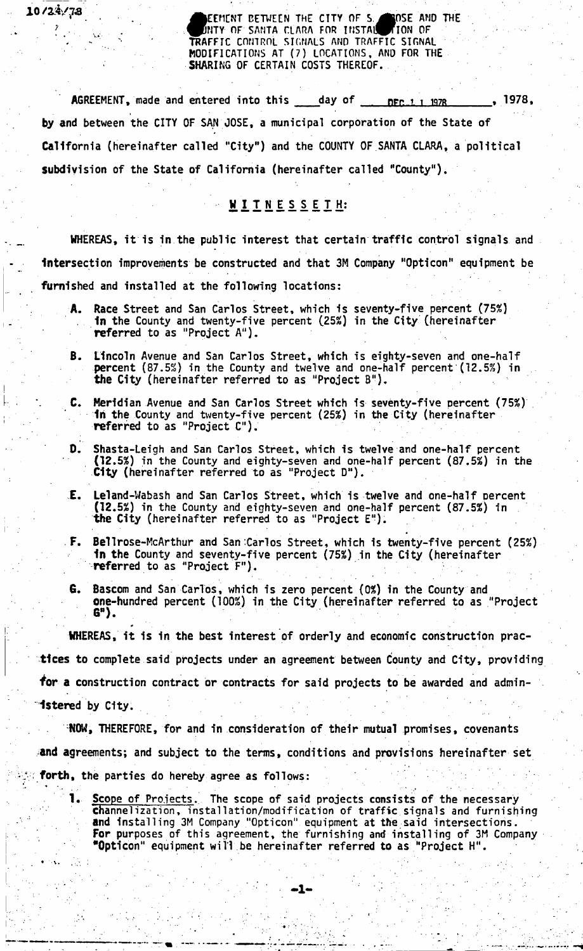**TRAFFIC CONTROL SIGNALS AND TRAFFIC SIGNAL EEMCNT CETWECN THE CITY OF S ^|OSE AMD THE NTY OF SANTA CLARA FOR INSTAl^TION OF MODIFICATIONS AT (7) LOCATIONS, AND FOR THE SHARING OF CERTAIN COSTS THEREOF.** 

**AGREEMENT, made and entered into this day of nrr** *1* **i W7R , 1978, by and between the CITY OF SAN JOSE, a municipal corporation of the State of California (hereinafter called "City") and the COUNTY OF SANTA CLARA, a political subdivision of the State of California (hereinafter called "County").** 

*10/2S/JS ?*  • .

 $\mathbf{1} \in \mathbb{R}^{N_{\mathrm{max}} \times N_{\mathrm{max}}}$ 

# WITNESSETH:

**WHEREAS, it is in the public interest that certain traffic control signals and Intersection improvements be constructed and that 3M Company "Opticon" equipment be furnished and installed at the following locations:** 

- **A. Race Street and San Carlos Street, which is seventy-five percent (75%) In the County and twenty-five percent (253!) in the City (hereinafter referred to as "Project A").**
- **6. Lincoln Avenue and San Carlos Street, which is eighty-seven and one-half percent (87.5%) in the County and twelve and one-half percent (12.5%) in the City (hereinafter referred to as "Project B").**
- C. **Meridian Avenue and San Carlos Street which is seventy-five percent (75%) \ In the County and twenty-five percent (25%) in the City (hereinafter referred to as "Project C").**
- **0. Shasta-Leigh and San Carlos Street, which is twelve and one-half percent (12.5%) in the County and eighty-seven and one-half percent (87.5%) in the City (hereinafter referred to as "Project D").**
- **E. Leland-Wabash and San Carlos Street, which is twelve and one-half percent (12.5%) in the County and eighty-seven and one-half percent (87.5%) in the City (hereinafter referred to as "Project E").**
- **F. Bellrose-**McArthur and San Carlos Street, which is twenty-five percent (25%) **1n the County and seventy-five percent (75%) in the City (hereinafter referred to as "Project F").**
- **G. Bascom and San Carlos, which is zero percent (0%) in the County and one-hundred percent (100%) in the City (hereinafter referred to as "Project G").**

**WHEREAS, it is in the best interest of orderly and economic construction practices to complete said projects under an agreement between County and City, providing for a construction contract or contracts for said projects to be awarded and administered by City.** 

**NOW, THEREFORE, for and in consideration of their mutual promises, covenants and agreements; and subject to the terms, conditions and provisions hereinafter set**  forth, the parties do hereby agree as follows:

**1. Scope of Projects. The scope of said projects consists of the necessary Channelization, installation/modification of traffic signals and furnishing and installing 3M Company "Opticon" equipment at the said intersections. For purposes of this agreement, the furnishing and installing of 3M Company "Opticon" equipment will be hereinafter referred to as "Project H".**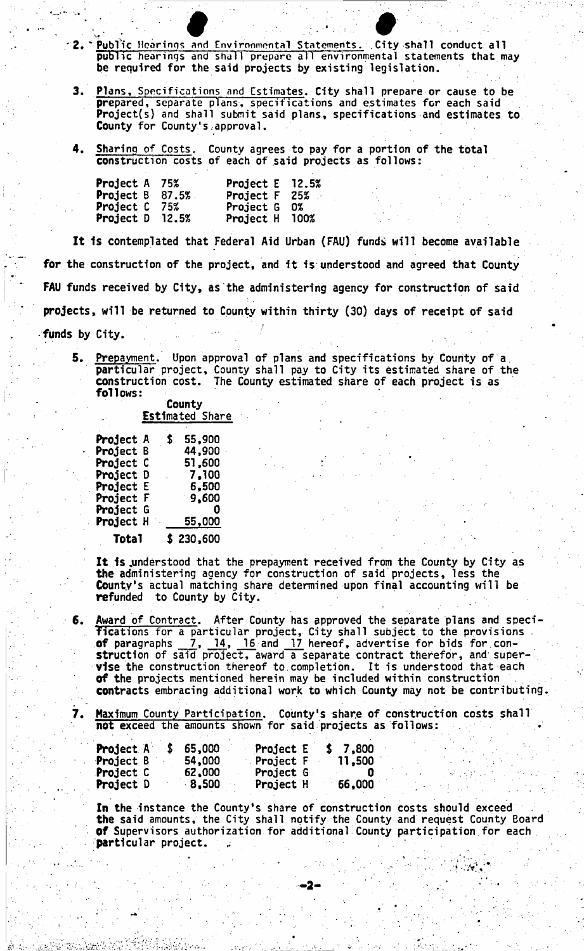- **' 2. "Public Hearings and Environmental Statements. City shall conduct all public hearings and shall prepare all environmental statements that may be required for the said projects by existing legislation.**  and Environmental Statements. City sha
- **3. Plans, Specifications and Estimates. City shall prepare or cause to be prepared, separate plans, specifications and estimates for each said Project(s) and shall submit said plans, specifications and estimates to County for County's,approval.**
- **4. Sharing of Costs. County agrees to pay for a portion of the total construction costs of each of said projects as follows:**

| <b>Project A 75%</b>                |     | Project E 12.5% |  |
|-------------------------------------|-----|-----------------|--|
| <b>Project B <math>87.5%</math></b> |     | Project F 25%   |  |
| <b>Project C</b>                    | 75% | Project G 0%    |  |
| Project D 12.5%                     |     | Project H 100%  |  |

**It 1s contemplated that Federal Aid Urban (FAl!) funds will become available**  for **the construction of the project, and it is understood and agreed that County FAU funds received by City, as the administering agency for construction of said projects, will be returned to County within thirty (30) days of receipt of said** 

funds **by City.** 

**5. Prepayment. Upon approval of plans and specifications by County of a particular project, County shall pay to City its estimated share of the construction cost. The County estimated share of each project is as follows:** 

> **County Estimated Share**

| <b>Project A</b> | \$<br>55,900         |
|------------------|----------------------|
| <b>Project</b> B | 44.900               |
| Project C        | 51.600               |
| <b>Project D</b> | $\blacksquare$ 7,100 |
| <b>Project E</b> | 6,500                |
| <b>Project F</b> | 9,600                |
| Project<br>G     | Ω                    |
| <b>Project H</b> | 55,000<br>ЙV.        |
| Total            | \$230,600            |

**It is .understood that the prepayment received from the County by City as the administering agency for construction of said projects, less the County's actual matching share determined upon final accounting will be refunded to County by City.** 

**6. Award of Contract. After County has approved the separate plans and specifications for a particular project, City shall subject to the provisions of paragraphs 7, 14, 16 and 17 hereof, advertise for bids for con-**7, 14, 16 and 17 hereof, advertise for bids for con**struction of said project, award a separate contract therefor, and supervise the construction thereof to.completion. It is understood that each**  Of **the projects mentioned herein may be included within construction , contracts embracing additional work to which County may not be contributing** 

7. Maximum County Participation. County's share of construction costs shall not exceed the amounts shown for said projects as follows:

| <b>Project A</b> | 65,000 | Project E        |  | 7,800  |  |
|------------------|--------|------------------|--|--------|--|
| <b>Project B</b> | 54,000 | <b>Project F</b> |  | 11,500 |  |
| <b>Project C</b> | 62,000 | Project G        |  |        |  |
| <b>Project D</b> | 8,500  | Project H        |  | 66,000 |  |

**In the instance the County's share of construction costs should exceed the said amounts, the City shall notify the County and request County Board**  Of **Supervisors authorization for additional County participation for each**  particular project.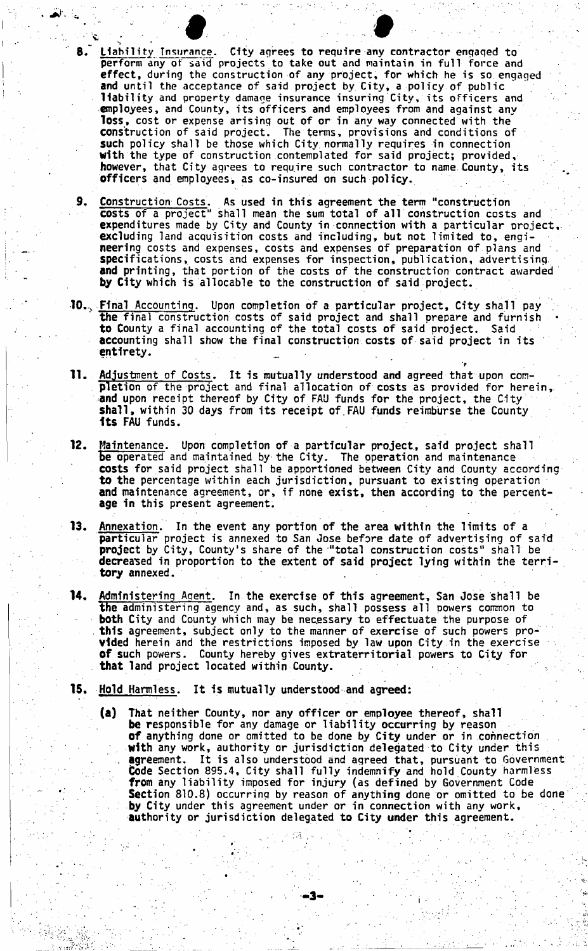$\frac{1}{2}$  .  $\frac{1}{2}$  ,  $\frac{1}{2}$  ,  $\frac{1}{2}$  ,  $\frac{1}{2}$ 8. **Liability Insurance, City agrees to require any contractor engaqed to perform any of said projects to take out and maintain in full force and effect, during the construction of any project, for which he is so engaged and until the acceptance of said project by City, a policy of public liability and property damage insurance insuring City, its officers and employees, and County, its officers and employees from and against any loss, cost or expense arising out of or in any way connected with the construction of said project. The terms, provisions and conditions of such policy shall be those which City normally requires in connection with the type of construction contemplated for said project; provided, however, that City agrees to require such contractor to name County, its officers and employees, as co-insured on such policy.** 

**9. Construction Costs, As used in this agreement the term "construction costs of a project" shall mean the sum total of all construction costs and : expenditures made by City and County in connection with a particular project, excluding land acquisition costs and including, but not limited to, engineering costs and expenses, costs and expenses of preparation of plans and specifications, costs and expenses for inspection, publication, advertising and printing, that portion of the costs of the construction contract awarded by City which is allocable to the construction of said project.** 

- 10. Final Accounting. Upon completion of a particular project, City shall pay **the final construction costs of said project and shall prepare and furnish • to County a final accounting of the total costs of said project. Said : accounting shall show the final construction costs of said project in its entirety.**
- **11. Adjustment of Costs. It is mutually understood and agreed that upon completion of the project and final allocation of costs as provided for herein, and upon receipt thereof by City of FAU funds for the project, the City shall, within 30 days from its receipt of.FAU funds reimburse the County Its FAU funds.**

>

- **12. Maintenance. Upon completion of a particular project., said project shall**  be operated and maintained by the City. The operation and maintenance costs for said project shall be apportioned between City and County according to the percentage within each jurisdiction, pursuant to existing operation and maintenance agreement, or, if none exist, then according to the percentage in this present agreement.
- **age In this present agreement. 13. Annexation. In the event any portion of the area within the limits of a particular project is annexed to San Jose before date of advertising of said project by City, County's share of the "total construction costs" shall be decreased in proportion to the extent of said project lying within the territory annexed.**
- **14. Administering Agent. In the exercise of this agreement, San Jose shall be the administering agency and, as such, shall possess all powers common to both City and County which may be necessary to effectuate the purpose of this agreement, subject only to the manner of exercise of such powers provided herein and the restrictions imposed by law upon City in the exercise of such powers. County hereby gives extraterritorial powers to City for that land project located within County.**
- **15. Hold Harmless. It Is mutually understood and agreed:** 
	- **(a) That neither County, nor any officer or employee thereof, shall be responsible for any damage or liability occurring by reason Of anything done or omitted to be done by City under or in connection . with any work, authority or jurisdiction delegated to City under this . agreement. It is also understood aind agreed that, pursuant to Government Code Section 895.4, City shall fully indemnify and hold County harmless from any liability imposed for injury (as defined by Government Code Section 810.8) occurring by reason of anything done or omitted to be done by City under this agreement under or in connection with any work, authority or jurisdiction delegated to City under this agreement.**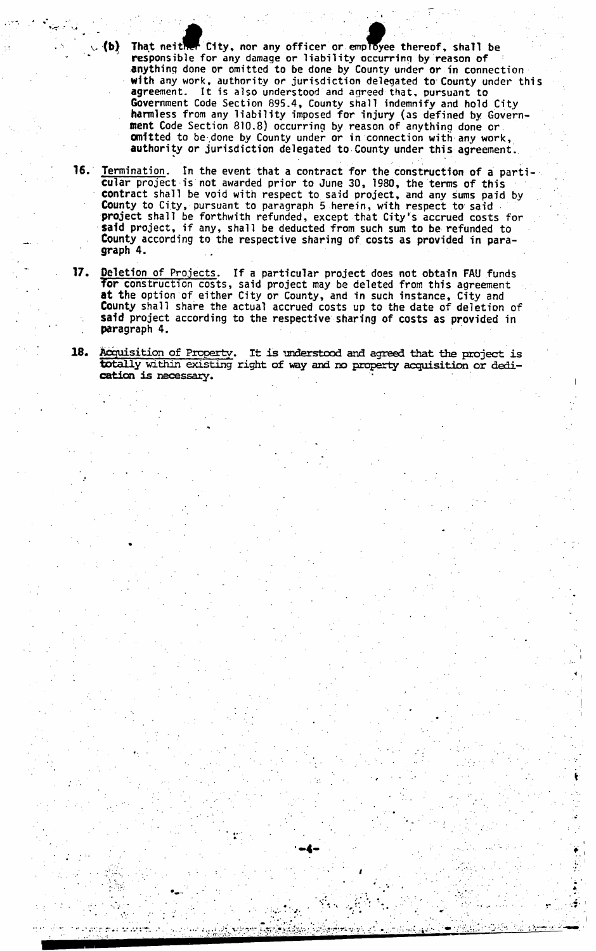That neither City, nor any officer or employee thereof, shall be **responsible for any damage or liability occurring by reason of anything done or omitted to be done by County under or in connection with any work, authority or jurisdiction delegated to County under this agreement. It is also understood and agreed that, pursuant to Government Code Section 895.4, County shall indemnify and hold City harmless from any liability imposed for injury (as defined by Government Code Section 810.8) occurring by reason of anything done or omitted to be done by County under or in connection with any work, authority or jurisdiction delegated to County under this agreement.**  *V. ib\* 

\* . • -

- 16. I **Termination, In the event that a contract for the construction of a particular project is not awarded prior to June 30, 1980, the terms of this contract shall be void with respect to said project, and any sums paid by County to City, pursuant to paragraph 5 herein, with respect to said project shall be forthwith refunded, except that City's accrued costs for said project, if any, shall be deducted from such sum to be refunded to County according to the respective sharing of costs as provided in paragraph 4.**
- **17. Deletion of Projects. If a particular project does not obtain FAU funds for construction costs, said project may be deleted from this agreement at the option of either City or County, and in such instance, City and County shall share the actual accrued costs up to the date of deletion of said project according to the respective sharing of costs as provided in paragraph 4.**
- **18. Acquisition of Property. It is understood and agreed that the project is totally within existing right of way and no property acquisition or dedication is necessary.**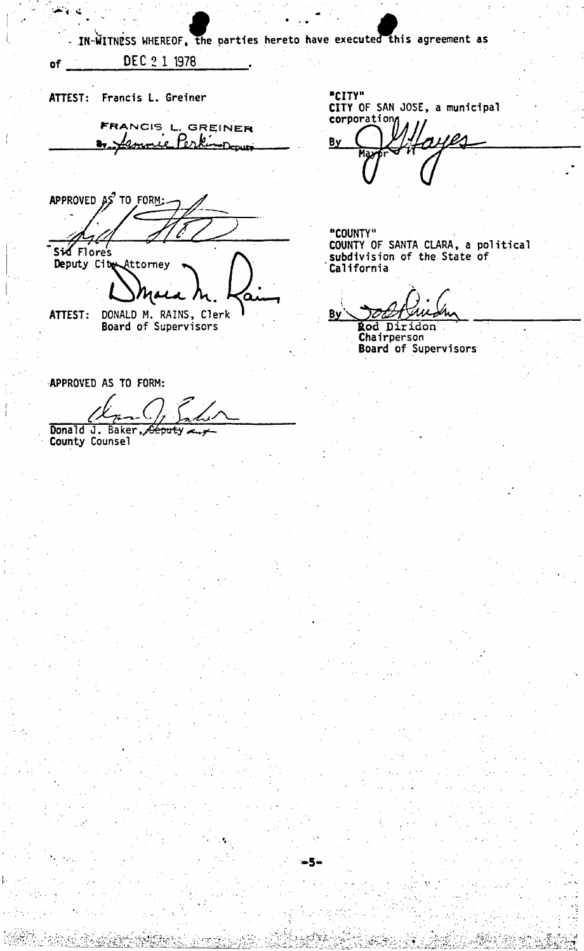IN WITNESS WHEREOF, the parties hereto have executed this agreement as

DEC 2 1 1978

ي. <sub>الأ</sub>لاني

 $of$ 

ATTEST: Francis L. Greiner FRANCIS L. GREINER 1. Jemnie Perk

APPROVED AS TO FORM: Sid Flore's Deputy City Attorney DONALD M. RAINS, Clerk ATTEST: Board of Supervisors

**APPROVED AS TO FORM:** 

Donald J. Baker, Oeputy County Counsel

"CITY" CITY OF SAN JOSE, a municipal corporation

By

"COUNTY" COUNTY OF SANTA CLARA, a political<br>subdivision of the State of California

**By Rod Diridon** 

.5-

Chairperson<br>Board of Supervisors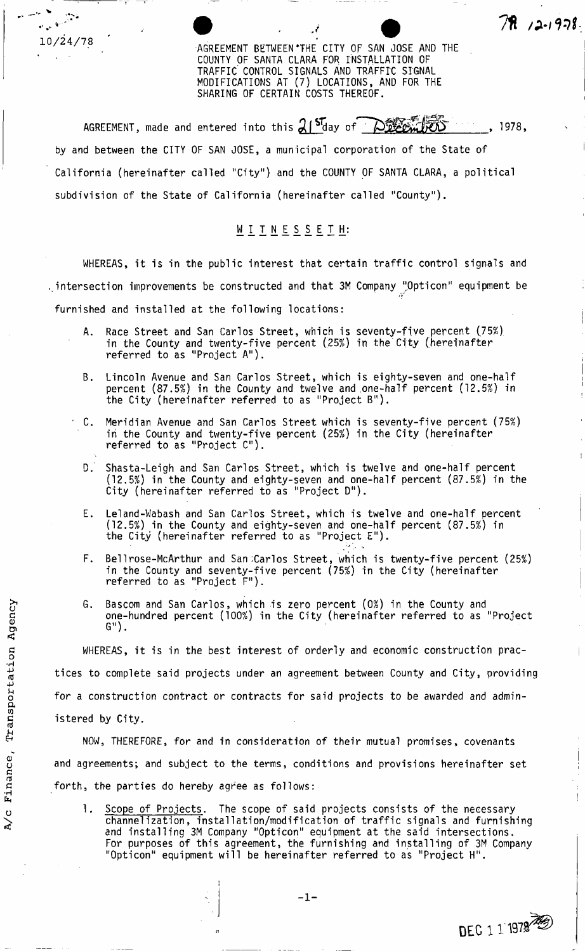AGREEMENT BETWEEN 'THE CITY OF SAN JOSE AND THE COUNTY OF SANTA CLARA FOR INSTALLATION OF TRAFFIC' CONTROL SIGNALS AND TRAFFIC SIGNAL MODIFICATIONS AT (7) LOCATIONS, AND FOR THE SHARING OF CERTAIN COSTS THEREOF.

**• 11 /a** *7***1 /a** *7***1 /a** *7***1 /a** *7***1 /a** *7***1 /a** *7***1 /a** *7***1 /a** *7***1 /a** *7* 

AGREEMENT, made and entered into this  $21^{57}$  day of  $\bigcirc$   $\bigcirc$   $\bigcirc$   $\bigcirc$   $\bigcirc$   $\bigcirc$   $\bigcirc$   $\bigcirc$  1978, by and between the CITY OF SAN JOSE, a municipal corporation of the State of California (hereinafter called "City") and the COUNTY OF SANTA CLARA, a political subdivision of the State of California (hereinafter called "County").

# WITNESSETH:

WHEREAS, it is in the public interest that certain traffic control signals and intersection improvements be constructed and that 3M Company "Opticon" equipment be furnished and installed at the following locations:

- A. Race Street and San Carlos Street, which is seventy-five percent (75%) in the County and twenty-five percent (25%) in the City (hereinafter referred to as "Project A").
- Lincoln Avenue and San Carlos Street, which is eighty-seven and one-half percent (87.5%) in the County and twelve and .one-half percent (12.5%) in the City (hereinafter referred to as "Project B").
- C. Meridian Avenue and San Carlos Street which is seventy-five percent (75%) iri the County and twenty-five percent (25%) in the City (hereinafter referred to as "Project C").
- D.' Shasta-Leigh and San Carlos Street, which is twelve and one-half percent (12.5%) in the County and eighty-seven and one-half percent (87.5%) in the City (hereinafter referred to as "Project D").
- E. Leland-Wabash and San Carlos Street, which is twelve and one-half percent (12.5%) in the County and eighty-seven and one-half percent (87.5%) in the City (hereinafter referred to as "Project E").
- F. Bellrose-McArthur and San Carlos Street, which is twenty-five percent (25%) in the County and seventy-five percent (75%) in the City (hereinafter referred to as "Project F").
- Bascom and San Carlos, which is zero percent (0%) in the County and one-hundred percent (100%) in the City (hereinafter referred to as "Project G").

WHEREAS, it is in the best interest of orderly and economic construction practices to complete said projects under an agreement between County and City, providing for a construction contract or contracts for said projects to be awarded and administered by City.

NOW, THEREFORE, for and in consideration of their mutual promises, covenants and agreements; and subject to the terms, conditions and provisions hereinafter set forth, the parties do hereby agree as follows:

1. Scope of Projects. The scope of said projects consists of the necessary channelization, installation/modification of traffic signals and furnishing and installing 3M Company "Opticon" equipment at the said intersections. For purposes of this agreement, the furnishing and installing of 3M Company "Opticon" equipment will be hereinafter referred to as "Project H".

**DEC** 1 1 1979

-

10/24/78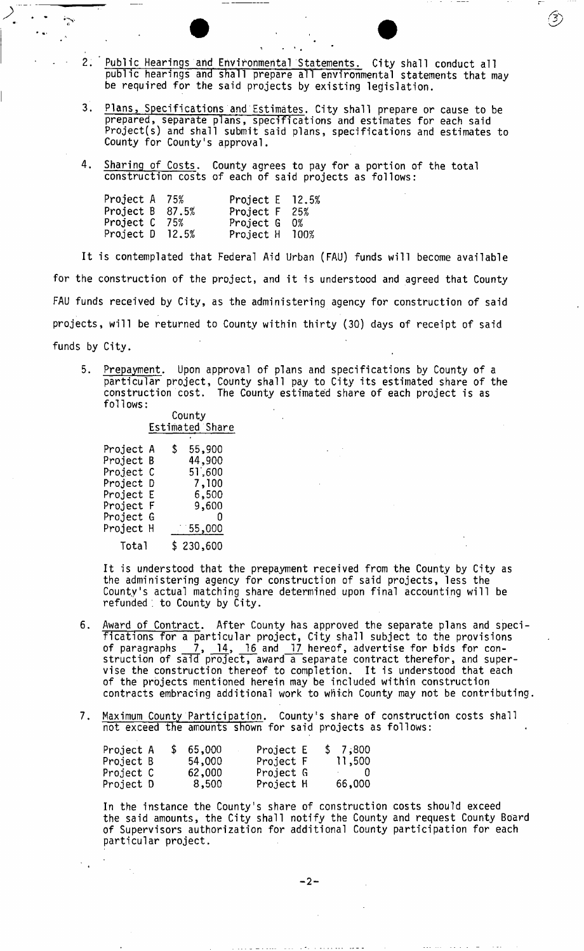- . 2. Public Hearings and Environmental Statements. City shall conduct all public hearings and shall prepare all environmental statements that may be required for the said projects by existing legislation.
	- 3. Plans, Specifications and Estimates. City shall prepare or cause to be prepared, separate plans, specifications and estimates for each said Project(s) and shall submit said plans, specifications and estimates to County for County's approval.
	- 4. <u>Sharing o</u>f Costs. County agrees to pay for a portion of the total construction costs of each of said projects as follows:

| Project A 75%   |       | Project $E$ 12.5% |    |
|-----------------|-------|-------------------|----|
| Project B 87.5% |       | Project F 25%     |    |
| Project C       | 75%   | Project G         | 0% |
| Project D       | 12.5% | Project H 100%    |    |

 $\mathcal{L}_{\alpha}^{\bullet}$ 

It is contemplated that Federal Aid Urban (FAU) funds will become available for the construction of the project, and it is understood and agreed that County FAU funds received by City, as the administering agency for construction of said projects, will be returned to County within thirty (30) days of receipt of said funds by City.

5. Prepayment. Upon approval of plans and specifications by County of a particular project, County shall pay to City its estimated share of the construction cost. The County estimated share of each project is as follows:

> County Estimated Share

| Project A | \$<br>55,900 |
|-----------|--------------|
| Project B | 44,900       |
| Project C | 51,600       |
| Project D | 7,100        |
| Project E | 6,500        |
| Project F | 9,600        |
| Project G | $\sim$ 0     |
| Project H | $-55,000$    |
| Total     | \$230,600    |

It is understood that the prepayment received from the County by City as the administering agency for construction of said projects, less the County's actual matching share determined upon final accounting will be refunded , to County by City.

- 6. Award of Contract. After County has approved the separate plans and specifications for a particular project, City shall subject to the provisions of paragraphs 7, 14, 16 and 17 hereof, advertise for bids for construction of said project, award a separate contract therefor, and supervise the construction thereof to completion. It is understood that each of the projects mentioned herein may be included within construction contracts embracing additional work to which County may not be contributing.
- 7. Maximum County Participation. County's share of construction costs shall not exceed the amounts shown for said projects as follows:

| Project A |  | \$65,000 | Project E | \$7;800                      |
|-----------|--|----------|-----------|------------------------------|
| Project B |  | 54,000   | Project F | 11,500                       |
| Project C |  | 62,000   | Project G | $\sim$ 0 0 $\sim$ 0 0 $\sim$ |
| Project D |  | 8,500    | Project H | 66,000                       |

In the instance the County's share of construction costs should exceed the said amounts, the City shall notify the County and request County Board of Supervisors authorization for additional County participation for each particular project.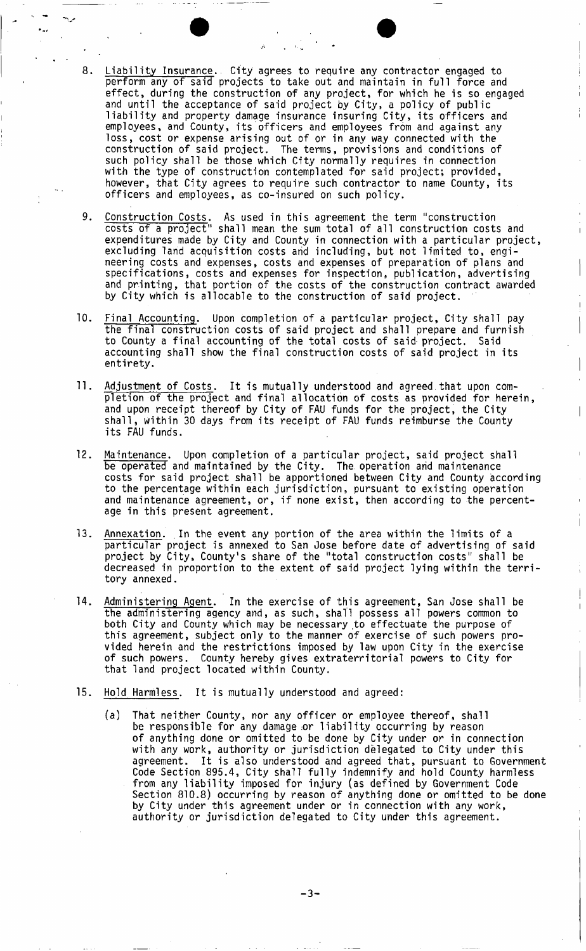- 8. Liability Insurance.. City agrees to require any contractor engaged to perform any of said projects to take out and maintain in full force and effect, during the construction of any project, for which he is so engaged and until the acceptance of said project by City, a policy of public liability and property damage insurance insuring City, its officers and employees, and County, its officers and employees from and against any loss, cost or expense arising out of or in any way connected with the construction of said project. The terms, provisions and conditions of such policy shall be those which City normally requires in connection with the type of construction contemplated for said project; provided, however, that City agrees to require such contractor to name County, its officers and employees, as co-insured on such policy.
- 9. Construction Costs. As used in this agreement the term "construction costs of a project" shall mean the sum total of all construction costs and expenditures made by City and County in connection with a particular project, excluding land acquisition costs and including, but not limited to, engineering costs and expenses, costs and expenses of preparation of plans and specifications, costs and expenses for inspection, publication, advertising and printing, that portion of the costs of the construction contract awarded by City which is allocable to the construction of said project.
- 10. Final Accounting. Upon completion of a particular project, City shall pay the final construction costs of said project and shall prepare and furnish to County a final accounting of the total costs of said project. Said accounting shall show the final construction costs of said project in its entirety.
- 11. Adjustment of Costs. It is mutually understood and agreed.that upon completion of the project and final allocation of costs as provided for herein, and upon receipt thereof by City of FAU funds for the project, the City shall, within 30 days from its receipt of FAU funds reimburse the County its FAU funds.
- 12. Maintenance. Upon completion of a particular project, said project shall be operated and maintained by the City. The operation and maintenance costs for said project shall be apportioned between City and County according to the percentage within each jurisdiction, pursuant to existing operation and maintenance agreement, or, if none exist, then according to the percentage in this present agreement.
- 13. Annexation. In the event any portion of the area within the limits of a particular project is annexed to San Jose before date of advertising of said project by City, County's share of the "total construction costs" shall be decreased in proportion to the extent of said project lying within the territory annexed.
- 14. Administering Agent. In the exercise of this agreement, San Jose shall be the administering agency and, as such, shall possess all powers common to both City and County which may be necessary to effectuate the purpose of this agreement, subject only to the manner of exercise of such powers provided herein and the restrictions imposed by law upon City in the exercise of such powers. County hereby gives extraterritorial powers to City for that land project located within County.
- 15. Hold Harmless. It is mutually understood and agreed:
	- (a) That neither County, nor any officer or employee thereof, shall be responsible for any damage or liability occurring by reason of anything done or omitted to be done by City under or in connection with any work, authority or jurisdiction delegated to City under this agreement. It is also understood and agreed that, pursuant to Government Code Section 895.4, City shall fully indemnify and hold County harmless from any liability imposed for injury (as defined by Government Code Section 810.8) occurring by reason of anything done or omitted to be done by City under this agreement under or in connection with any work, authority or jurisdiction delegated to City under this agreement.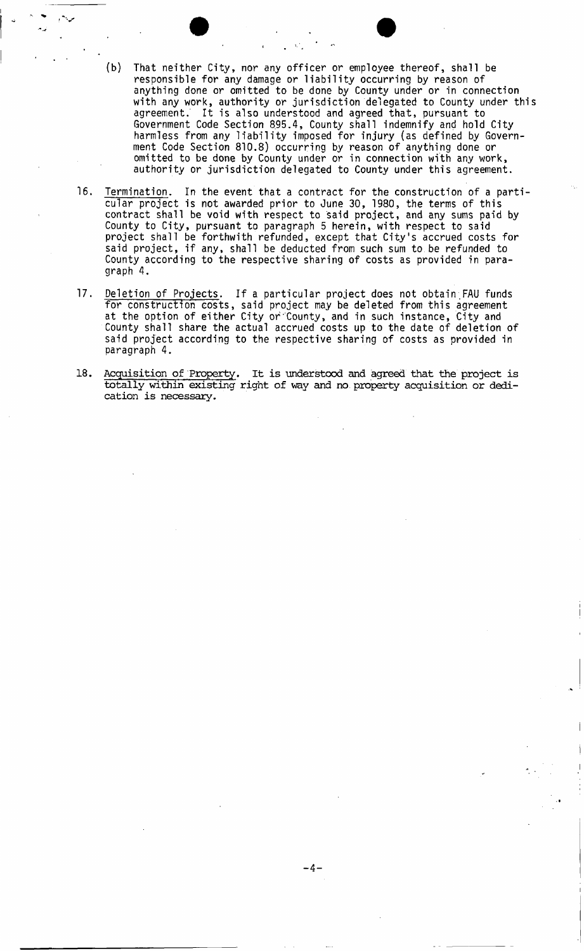- (b) That neither City, nor any officer or employee thereof, shall be responsible for any damage or liability occurring by reason of anything done or omitted to be done by County under or in connection with any work, authority or jurisdiction delegated to County under this agreement. It is also understood and agreed that, pursuant to Government Code Section 895.4, County shall indemnify and hold City harmless from any liability imposed for injury (as defined by Government Code Section 810.8) occurring by reason of anything done or omitted to be done by County under or in connection with any work, authority or jurisdiction delegated to County under this agreement.
- 16. Termination. In the event that a contract for the construction of a particular project is not awarded prior to June 30, 1980, the terms of this contract shall be void with respect to said project, and any sums paid by County to City, pursuant to paragraph 5 herein, with respect to said project shall be forthwith refunded, except that City's accrued costs for said project, if any, shall be deducted from such sum to.be refunded to County according to the respective sharing of costs as provided in paragraph 4.
- 17. Deletion of Projects. If a particular project does not obtain;FAU funds for construction costs, said project may be deleted from this agreement at the option of either City or County, and in such instance, City and County shall share the actual accrued costs up to the date of deletion of said project according to the respective sharing of costs as provided in paragraph 4.
- 18. Acquisition of Property. It is understood and agreed that the project is totally within existing right of way and no. property acquisition or dedication is necessary.

- 4 -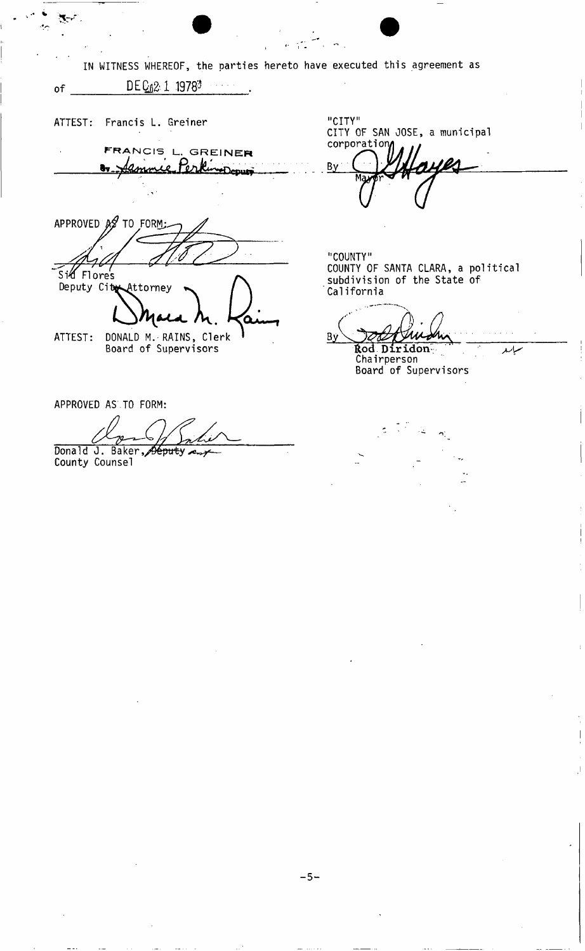IN WITNESS WHEREOF, the parties hereto have executed this agreement as of  $DEQ_12:1$  1978<sup>3</sup> "CITY" ATTEST: Francis L. Greiner CITY OF SAN JOSE, a municipal corporati **FRANCI S L, GREINE R**  Kinoppur amme Per Bý APPROVED  $\mathcal{A}$  TO FORM: "COUNTY" COUNTY OF SANTA CLARA, a political Sid Flore's subdivision of the State of Deputy City Attorney California **L^J^U L AV .**   $By$ ATTEST: DONALD M.-RAINS, Clerk **£od Diridon:**  Board of Supervisors Chairperson Board of Supervisors APPROVED AS TO FORM: Donald J. Baker, Seputy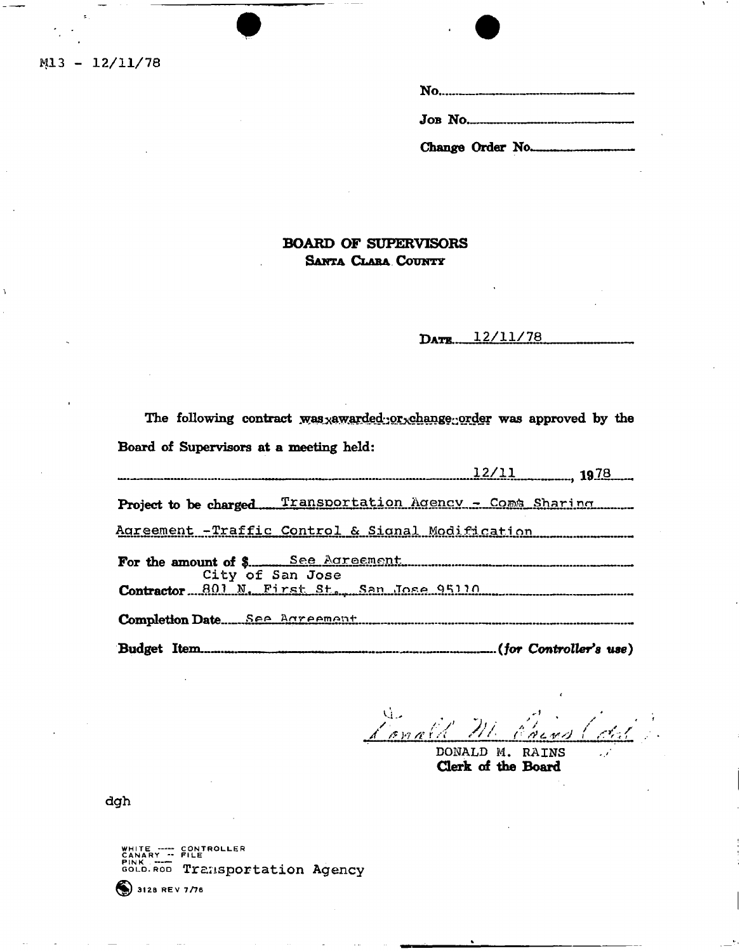$M13 - 12/11/78$ 

| <b>JOB NO.</b> 4. 2008. The MOST SERVICE SERVICE SERVICE SERVICE SERVICE SERVICE SERVICE SERVICE SERVICE SERVICE SERVICE SERVICE SERVICE SERVICE SERVICE SERVICE SERVICE SERVICE SERVICE SERVICE SERVICE SERVICE SERVICE SERVICE SE |
|-------------------------------------------------------------------------------------------------------------------------------------------------------------------------------------------------------------------------------------|
| Change Order No.                                                                                                                                                                                                                    |

### **BOARD OF SUPERVISORS** SANTA CLARA COUNTY

DATE 12/11/78

The following contract was xawarded or change order was approved by the Board of Supervisors at a meeting held:

 $12/11$  1978 Project to be charged Transportation Agency - Come Sharing Agreement -Traffic Control & Signal Modification <u>See Adreement</u> For the amount of \$.... City of San Jose Contractor 801 N. First St., San Jose 95110 Completion Date See Bareement Budget Item........

 $\mathbf{u}$ t onald

DONALD M. RAINS Clerk of the Board

dgh

WHITE ---- CONTROLLER<br>CANARY -- FILETROLLER<br>GOLD.ROD Transportation Agency

 $\odot$  3128 REV 7/76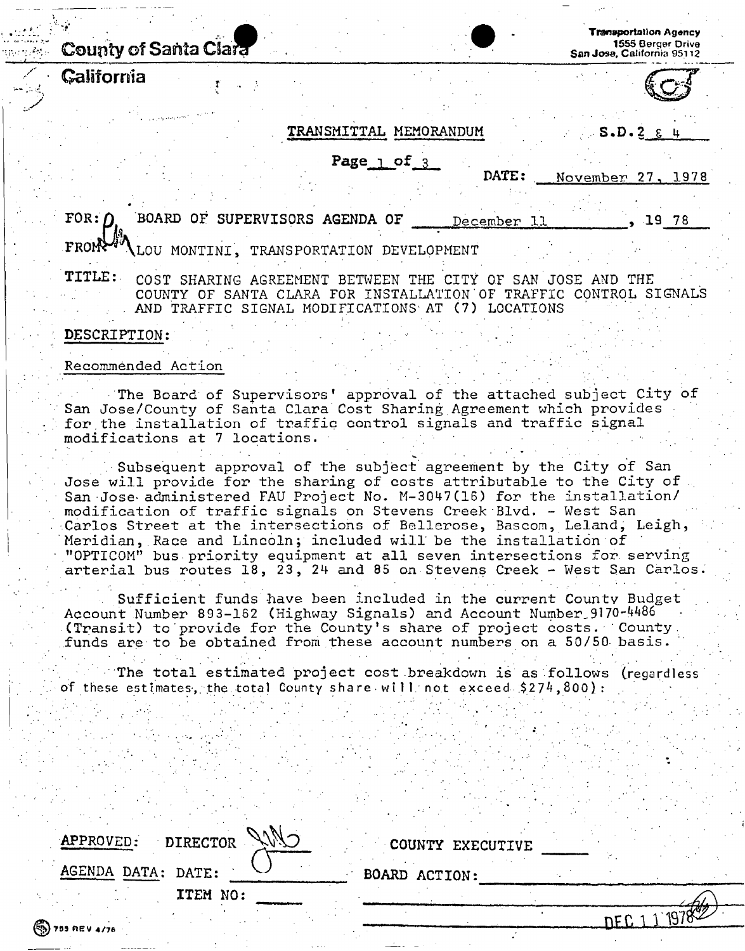# **County** of Santa C~8ara

**California** 

**Transportation Agancy**  1555 Berger Drive **San Jose,** California **95112** 

### **TRANSMITTAL MEMORANDUM** S.D.2  $\epsilon$

**Page**  $\frac{1}{3}$  of 3.

**DATE:** November 27, 1978

BOARD OF SUPERVISORS AGENDA OF  $FOR: \Gamma$ December , 19 78 **FROM** LOU MONTINI, TRANSPORTATION DEVELOPMENT

TITLE: COST SHARING AGREEMENT BETWEEN THE CITY OF SAN JOSE AND THE COUNTY OF SANTA CLARA FOR INSTALLATION OF TRAFFIC CONTROL SIGNALS AND TRAFFIC SIGNAL MODIFICATIONS AT (7) LOCATIONS

### **DESCRIPTION:**

### Recommended Action

The Board of Supervisors' approval of the attached subject City of San Jose/County of Santa Clara Cost Sharing Agreement which provides for the installation of traffic control signals and traffic signal modifications at 7 locations.

Subsequent approval of the subject agreement by the City of San Jose will provide for the sharing of costs attributable to the City of  $\Box$ San Jose administered FAU Project No. M-3047(16) for the installation/ modification of traffic signals on Stevens Creek Blvd. - West San Carlos Street at the intersections of Bellerose, Bascom, Leland, Leigh, Meridian, Race and Lincoln; included will be the installation of "OPTICOM" bus priority equipment at all seven intersections for serving arterial bus routes 18, 23, 24 and 85 on Stevens Creek - West San Carlos.

Sufficient funds have been included in the current County Budget Account Number 893-162 (Highway Signals) and Account Number 9170-4486 (Transit) to provide for the County's share of project costs. County funds are to be obtained from these account numbers on a 50/50 basis.

The total estimated project cost breakdown is as follows (regardless of these estimates, the total County share will not exceed \$274,800):

| Cilio<br>APPROVED:<br><b>DIRECTOR</b> | COUNTY EXECUTIVE |      |
|---------------------------------------|------------------|------|
| AGENDA DATA: DATE:                    | BOARD ACTION:    |      |
| ITEM NO:                              |                  |      |
|                                       |                  | 1070 |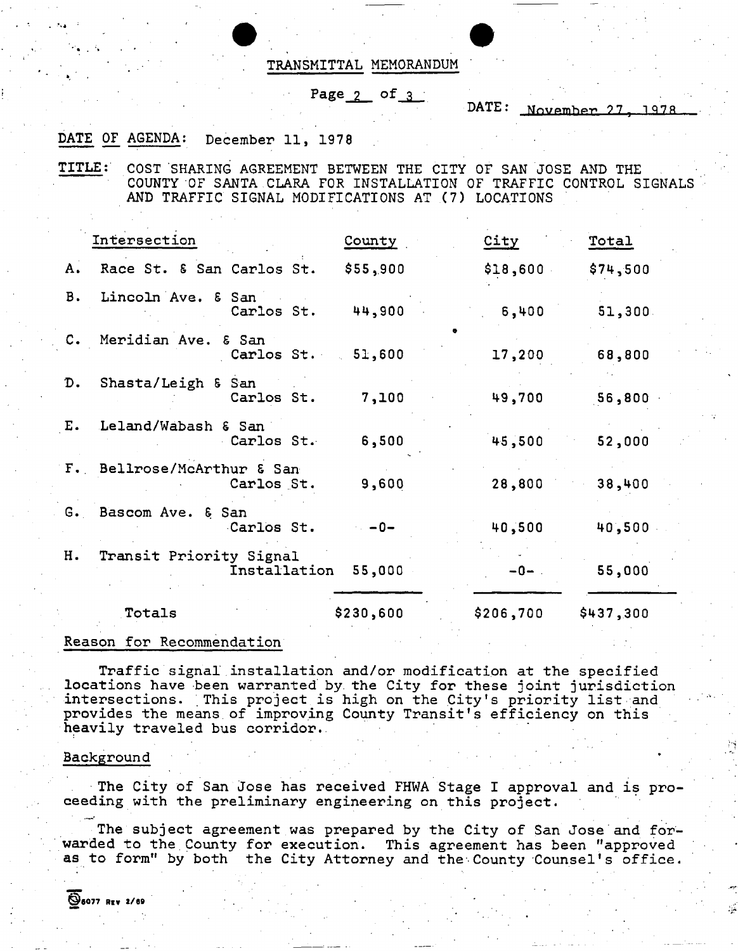### $TRANSMITTAL$  MEMORANDUM

# Page 2 of 3

DATE: November 27, 1978

### DATE OF AGENDA: December 11, 1978

TITLE: COST SHARING AGREEMENT BETWEEN THE CITY OF SAN JOSE AND THE COUNTY OF SANTA CLARA FOR INSTALLATION OF TRAFFIC CONTROL SIGNALS AND TRAFFIC SIGNAL MODIFICATIONS AT (7) LOCATIONS

|               | Intersection                             | County    | City      | Total     |
|---------------|------------------------------------------|-----------|-----------|-----------|
| A.            | Race St. & San Carlos St.                | \$55,900  | \$18,600  | \$74,500  |
| <b>B.</b>     | Lincoln Ave. & San<br>Carlos St.         | 44,900    | 6,400     | 51,300    |
|               | C. Meridian Ave. & San<br>Carlos St.     | 51,600    | 17,200    | 68,800    |
| D.            | Shasta/Leigh & San<br>Carlos St.         | 7,100     | 49,700    | 56,800    |
| $E_{\bullet}$ | Leland/Wabash & San<br>Carlos St.        | 6,500     | 45,500    | 52,000    |
|               | F. Bellrose/McArthur & San<br>Carlos St. | 9,600     | 28,800    | 38,400    |
|               | G. Bascom Ave. & San<br>Carlos St.       | $-0-$     | 40,500    | 40,500    |
| н.            | Transit Priority Signal<br>Installation  | 55,000    | $-0-$ .   | 55,000    |
|               | Totals                                   | \$230,600 | \$206,700 | \$437,300 |

### Reason for Recommendation

Traffic signal installation and/or modification at the specified locations have been warranted by the City for these joint jurisdiction intersections. This project is high on the City's priority list and provides the means of improving County Transit's efficiency on this heavily traveled bus corridor.

#### Backgroun d

The City of San Jose has received FHWA Stage I approval and is proceeding with the preliminary engineering on this project.

The subject agreement was prepared by the City of San Jose and forwarded to the County for execution. This agreement has been "approved as to form" by both the City Attorney and the County Counsel's office.

©6077 Riv 1/89